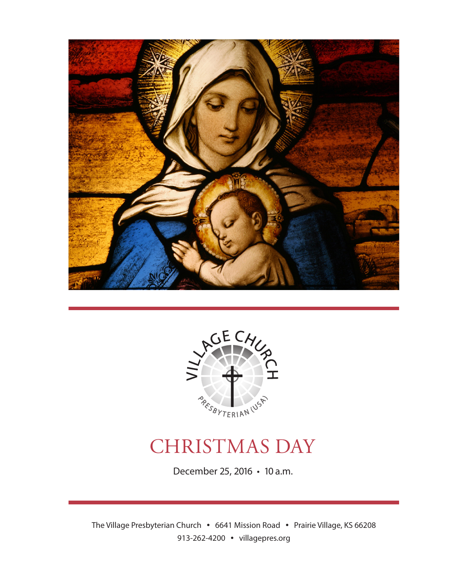



# CHRISTMAS DAY

December 25, 2016 • 10 a.m.

The Village Presbyterian Church • 6641 Mission Road • Prairie Village, KS 66208 913-262-4200 • villagepres.org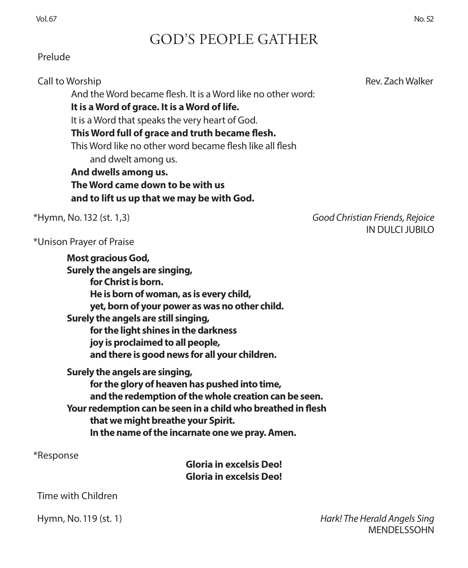# GOD'S PEOPLE GATHER

### Prelude

And the Word became flesh. It is a Word like no other word:

**It is a Word of grace. It is a Word of life.** 

It is a Word that speaks the very heart of God.

**This Word full of grace and truth became flesh.**

This Word like no other word became flesh like all flesh

and dwelt among us.

**And dwells among us. The Word came down to be with us and to lift us up that we may be with God.**

\*Hymn, No. 132 (st. 1,3) *Good Christian Friends, Rejoice* IN DULCI JUBILO

\*Unison Prayer of Praise

**Most gracious God, Surely the angels are singing, for Christ is born. He is born of woman, as is every child, yet, born of your power as was no other child. Surely the angels are still singing, for the light shines in the darkness joy is proclaimed to all people, and there is good news for all your children. Surely the angels are singing, for the glory of heaven has pushed into time, and the redemption of the whole creation can be seen. Your redemption can be seen in a child who breathed in flesh**

**that we might breathe your Spirit.** 

**In the name of the incarnate one we pray. Amen.**

\*Response

**Gloria in excelsis Deo! Gloria in excelsis Deo!**

Time with Children

 Hymn, No. 119 (st. 1) *Hark! The Herald Angels Sing* MENDELSSOHN

Call to Worship **Rev. Zach Walker** Call to Worship Rev. Zach Walker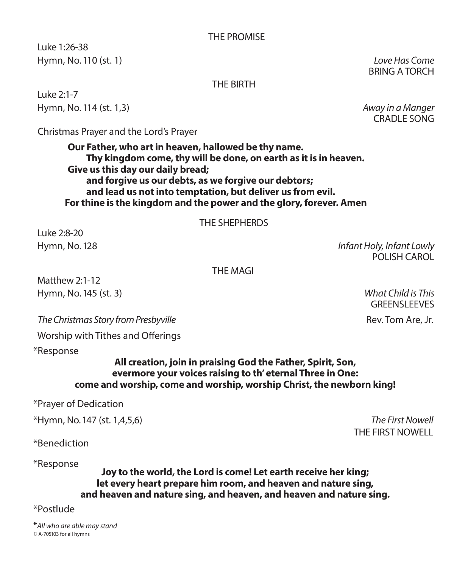#### THE PROMISE

 Luke 1:26-38 Hymn, No. 110 (st. 1) *Love Has Come*

BRING A TORCH

#### THE BIRTH

 Luke 2:1-7 Hymn, No. 114 (st. 1,3) *Away in a Manger*

CRADLE SONG

Christmas Prayer and the Lord's Prayer

**Our Father, who art in heaven, hallowed be thy name. Thy kingdom come, thy will be done, on earth as it is in heaven. Give us this day our daily bread; and forgive us our debts, as we forgive our debtors; and lead us not into temptation, but deliver us from evil. For thine is the kingdom and the power and the glory, forever. Amen**

THE SHEPHERDS

 Luke 2:8-20 Hymn, No. 128 *Infant Holy, Infant Lowly*

POLISH CAROL

THE MAGI Matthew 2:1-12 Hymn, No. 145 (st. 3) *What Child is This*

**The Christmas Story from Presbyville Rev. Tom Are, Jr. 2008** Rev. Tom Are, Jr.

Worship with Tithes and Offerings

\*Response

#### **All creation, join in praising God the Father, Spirit, Son, evermore your voices raising to th' eternal Three in One: come and worship, come and worship, worship Christ, the newborn king!**

\*Prayer of Dedication

\*Hymn, No. 147 (st. 1,4,5,6) *The First Nowell*

\*Benediction

\*Response **Joy to the world, the Lord is come! Let earth receive her king; let every heart prepare him room, and heaven and nature sing, and heaven and nature sing, and heaven, and heaven and nature sing.**

\*Postlude *Do You Hear What I Hear* arr. Jay Lichtman; Crown Brass Quinte

\**All who are able may stand ©* A-705103 for all hymns

GREENSLEEVES

THE FIRST NOWELL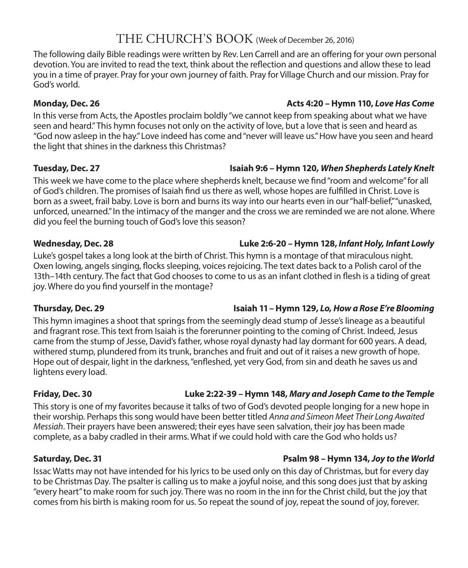# THE CHURCH'S BOOK (Week of December 26, 2016)

The following daily Bible readings were written by Rev. Len Carrell and are an offering for your own personal devotion. You are invited to read the text, think about the reflection and questions and allow these to lead you in a time of prayer. Pray for your own journey of faith. Pray for Village Church and our mission. Pray for God's world.

**Monday, Dec. 26 Acts 4:20 – Hymn 110,** *Love Has Come*

In this verse from Acts, the Apostles proclaim boldly "we cannot keep from speaking about what we have seen and heard." This hymn focuses not only on the activity of love, but a love that is seen and heard as "God now asleep in the hay." Love indeed has come and "never will leave us." How have you seen and heard the light that shines in the darkness this Christmas?

#### **Tuesday, Dec. 27 Isaiah 9:6 – Hymn 120,** *When Shepherds Lately Knelt*

This week we have come to the place where shepherds knelt, because we find "room and welcome" for all of God's children. The promises of Isaiah find us there as well, whose hopes are fulfilled in Christ. Love is born as a sweet, frail baby. Love is born and burns its way into our hearts even in our "half-belief," "unasked, unforced, unearned." In the intimacy of the manger and the cross we are reminded we are not alone. Where did you feel the burning touch of God's love this season?

### **Wednesday, Dec. 28 Luke 2:6-20 – Hymn 128,** *Infant Holy, Infant Lowly*

#### Luke's gospel takes a long look at the birth of Christ. This hymn is a montage of that miraculous night. Oxen lowing, angels singing, flocks sleeping, voices rejoicing. The text dates back to a Polish carol of the 13th–14th century. The fact that God chooses to come to us as an infant clothed in flesh is a tiding of great joy. Where do you find yourself in the montage?

#### This hymn imagines a shoot that springs from the seemingly dead stump of Jesse's lineage as a beautiful and fragrant rose. This text from Isaiah is the forerunner pointing to the coming of Christ. Indeed, Jesus came from the stump of Jesse, David's father, whose royal dynasty had lay dormant for 600 years. A dead, withered stump, plundered from its trunk, branches and fruit and out of it raises a new growth of hope. Hope out of despair, light in the darkness, "enfleshed, yet very God, from sin and death he saves us and lightens every load.

### **Friday, Dec. 30 Luke 2:22-39 – Hymn 148,** *Mary and Joseph Came to the Temple*

This story is one of my favorites because it talks of two of God's devoted people longing for a new hope in their worship. Perhaps this song would have been better titled *Anna and Simeon Meet Their Long Awaited Messiah*. Their prayers have been answered; their eyes have seen salvation, their joy has been made complete, as a baby cradled in their arms. What if we could hold with care the God who holds us?

### **Saturday, Dec. 31 Psalm 98 – Hymn 134,** *Joy to the World*

Issac Watts may not have intended for his lyrics to be used only on this day of Christmas, but for every day to be Christmas Day. The psalter is calling us to make a joyful noise, and this song does just that by asking "every heart" to make room for such joy. There was no room in the inn for the Christ child, but the joy that comes from his birth is making room for us. So repeat the sound of joy, repeat the sound of joy, forever.

# **Thursday, Dec. 29 Isaiah 11 – Hymn 129,** *Lo, How a Rose E're Blooming*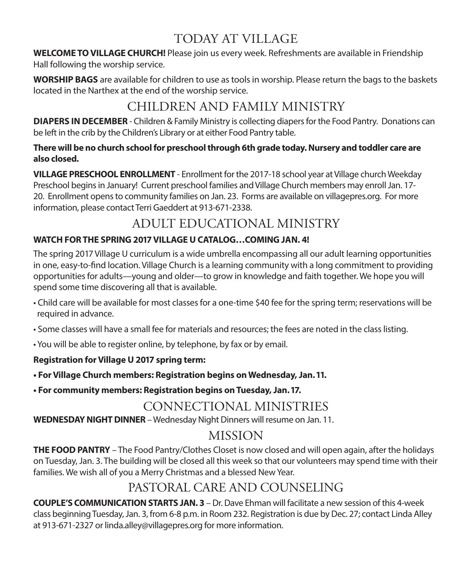# TODAY AT VILLAGE

**WELCOME TO VILLAGE CHURCH!** Please join us every week. Refreshments are available in Friendship Hall following the worship service.

**WORSHIP BAGS** are available for children to use as tools in worship. Please return the bags to the baskets located in the Narthex at the end of the worship service.

# CHILDREN AND FAMILY MINISTRY

**DIAPERS IN DECEMBER** - Children & Family Ministry is collecting diapers for the Food Pantry. Donations can be left in the crib by the Children's Library or at either Food Pantry table.

### **There will be no church school for preschool through 6th grade today. Nursery and toddler care are also closed.**

**VILLAGE PRESCHOOL ENROLLMENT** - Enrollment for the 2017-18 school year at Village church Weekday Preschool begins in January! Current preschool families and Village Church members may enroll Jan. 17- 20. Enrollment opens to community families on Jan. 23. Forms are available on villagepres.org. For more information, please contact Terri Gaeddert at 913-671-2338.

# ADULT EDUCATIONAL MINISTRY

### **WATCH FOR THE SPRING 2017 VILLAGE U CATALOG…COMING JAN. 4!**

The spring 2017 Village U curriculum is a wide umbrella encompassing all our adult learning opportunities in one, easy-to-find location. Village Church is a learning community with a long commitment to providing opportunities for adults—young and older—to grow in knowledge and faith together. We hope you will spend some time discovering all that is available.

- Child care will be available for most classes for a one-time \$40 fee for the spring term; reservations will be required in advance.
- Some classes will have a small fee for materials and resources; the fees are noted in the class listing.
- You will be able to register online, by telephone, by fax or by email.

### **Registration for Village U 2017 spring term:**

- **For Village Church members: Registration begins on Wednesday, Jan. 11.**
- **For community members: Registration begins on Tuesday, Jan. 17.**

# CONNECTIONAL MINISTRIES

**WEDNESDAY NIGHT DINNER** – Wednesday Night Dinners will resume on Jan. 11.

# MISSION

**THE FOOD PANTRY** – The Food Pantry/Clothes Closet is now closed and will open again, after the holidays on Tuesday, Jan. 3. The building will be closed all this week so that our volunteers may spend time with their families. We wish all of you a Merry Christmas and a blessed New Year.

# PASTORAL CARE AND COUNSELING

**COUPLE'S COMMUNICATION STARTS JAN. 3** – Dr. Dave Ehman will facilitate a new session of this 4-week class beginning Tuesday, Jan. 3, from 6-8 p.m. in Room 232. Registration is due by Dec. 27; contact Linda Alley at 913-671-2327 or linda.alley@villagepres.org for more information.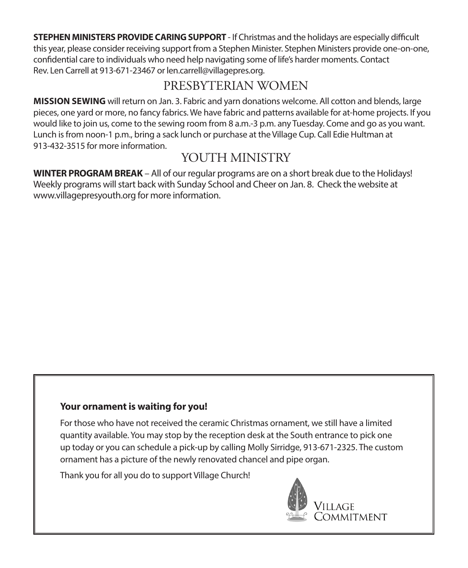**STEPHEN MINISTERS PROVIDE CARING SUPPORT** - If Christmas and the holidays are especially difficult this year, please consider receiving support from a Stephen Minister. Stephen Ministers provide one-on-one, confidential care to individuals who need help navigating some of life's harder moments. Contact Rev. Len Carrell at 913-671-23467 or len.carrell@villagepres.org.

# PRESBYTERIAN WOMEN

**MISSION SEWING** will return on Jan. 3. Fabric and yarn donations welcome. All cotton and blends, large pieces, one yard or more, no fancy fabrics. We have fabric and patterns available for at-home projects. If you would like to join us, come to the sewing room from 8 a.m.-3 p.m. any Tuesday. Come and go as you want. Lunch is from noon-1 p.m., bring a sack lunch or purchase at the Village Cup. Call Edie Hultman at 913-432-3515 for more information.

# YOUTH MINISTRY

**WINTER PROGRAM BREAK** – All of our regular programs are on a short break due to the Holidays! Weekly programs will start back with Sunday School and Cheer on Jan. 8. Check the website at www.villagepresyouth.org for more information.

### **Your ornament is waiting for you!**

For those who have not received the ceramic Christmas ornament, we still have a limited quantity available. You may stop by the reception desk at the South entrance to pick one up today or you can schedule a pick-up by calling Molly Sirridge, 913-671-2325. The custom ornament has a picture of the newly renovated chancel and pipe organ.

Thank you for all you do to support Village Church!

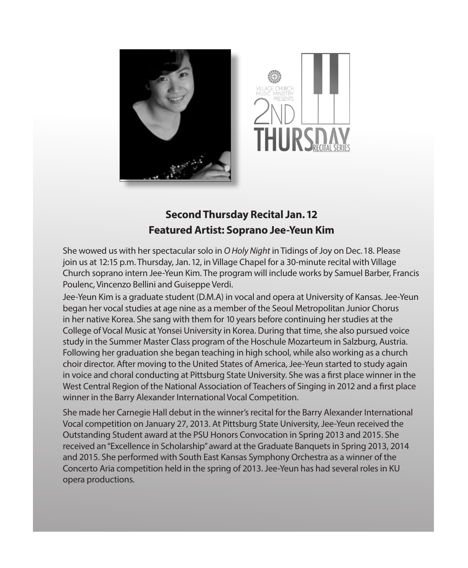



# **Second Thursday Recital Jan. 12 Featured Artist: Soprano Jee-Yeun Kim**

She wowed us with her spectacular solo in *O Holy Night* in Tidings of Joy on Dec. 18. Please join us at 12:15 p.m. Thursday, Jan. 12, in Village Chapel for a 30-minute recital with Village Church soprano intern Jee-Yeun Kim. The program will include works by Samuel Barber, Francis Poulenc, Vincenzo Bellini and Guiseppe Verdi.

Jee-Yeun Kim is a graduate student (D.M.A) in vocal and opera at University of Kansas. Jee-Yeun began her vocal studies at age nine as a member of the Seoul Metropolitan Junior Chorus in her native Korea. She sang with them for 10 years before continuing her studies at the College of Vocal Music at Yonsei University in Korea. During that time, she also pursued voice study in the Summer Master Class program of the Hoschule Mozarteum in Salzburg, Austria. Following her graduation she began teaching in high school, while also working as a church choir director. After moving to the United States of America, Jee-Yeun started to study again in voice and choral conducting at Pittsburg State University. She was a first place winner in the West Central Region of the National Association of Teachers of Singing in 2012 and a first place winner in the Barry Alexander International Vocal Competition.

She made her Carnegie Hall debut in the winner's recital for the Barry Alexander International Vocal competition on January 27, 2013. At Pittsburg State University, Jee-Yeun received the Outstanding Student award at the PSU Honors Convocation in Spring 2013 and 2015. She received an "Excellence in Scholarship" award at the Graduate Banquets in Spring 2013, 2014 and 2015. She performed with South East Kansas Symphony Orchestra as a winner of the Concerto Aria competition held in the spring of 2013. Jee-Yeun has had several roles in KU opera productions.